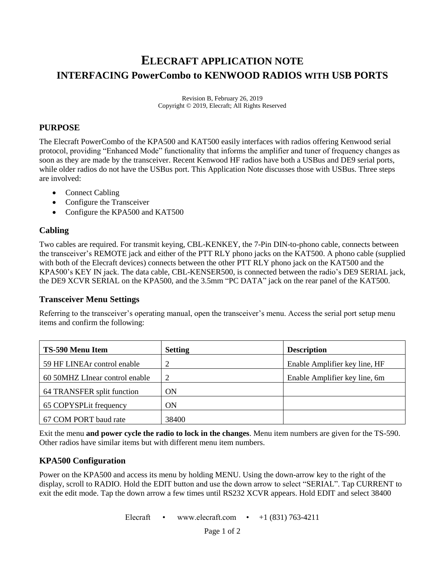# **ELECRAFT APPLICATION NOTE INTERFACING PowerCombo to KENWOOD RADIOS WITH USB PORTS**

Revision B, February 26, 2019 Copyright © 2019, Elecraft; All Rights Reserved

### **PURPOSE**

The Elecraft PowerCombo of the KPA500 and KAT500 easily interfaces with radios offering Kenwood serial protocol, providing "Enhanced Mode" functionality that informs the amplifier and tuner of frequency changes as soon as they are made by the transceiver. Recent Kenwood HF radios have both a USBus and DE9 serial ports, while older radios do not have the USBus port. This Application Note discusses those with USBus. Three steps are involved:

- Connect Cabling
- Configure the Transceiver
- Configure the KPA500 and KAT500

## **Cabling**

Two cables are required. For transmit keying, CBL-KENKEY, the 7-Pin DIN-to-phono cable, connects between the transceiver's REMOTE jack and either of the PTT RLY phono jacks on the KAT500. A phono cable (supplied with both of the Elecraft devices) connects between the other PTT RLY phono jack on the KAT500 and the KPA500's KEY IN jack. The data cable, CBL-KENSER500, is connected between the radio's DE9 SERIAL jack, the DE9 XCVR SERIAL on the KPA500, and the 3.5mm "PC DATA" jack on the rear panel of the KAT500.

#### **Transceiver Menu Settings**

Referring to the transceiver's operating manual, open the transceiver's menu. Access the serial port setup menu items and confirm the following:

| TS-590 Menu Item               | <b>Setting</b> | <b>Description</b>            |
|--------------------------------|----------------|-------------------------------|
| 59 HF LINEAr control enable    | 2              | Enable Amplifier key line, HF |
| 60 50MHZ LInear control enable | 2              | Enable Amplifier key line, 6m |
| 64 TRANSFER split function     | ON             |                               |
| 65 COPYSPLit frequency         | <b>ON</b>      |                               |
| 67 COM PORT baud rate          | 38400          |                               |

Exit the menu **and power cycle the radio to lock in the changes**. Menu item numbers are given for the TS-590. Other radios have similar items but with different menu item numbers.

## **KPA500 Configuration**

Power on the KPA500 and access its menu by holding MENU. Using the down-arrow key to the right of the display, scroll to RADIO. Hold the EDIT button and use the down arrow to select "SERIAL". Tap CURRENT to exit the edit mode. Tap the down arrow a few times until RS232 XCVR appears. Hold EDIT and select 38400

Elecraft • www.elecraft.com •  $+1$  (831) 763-4211